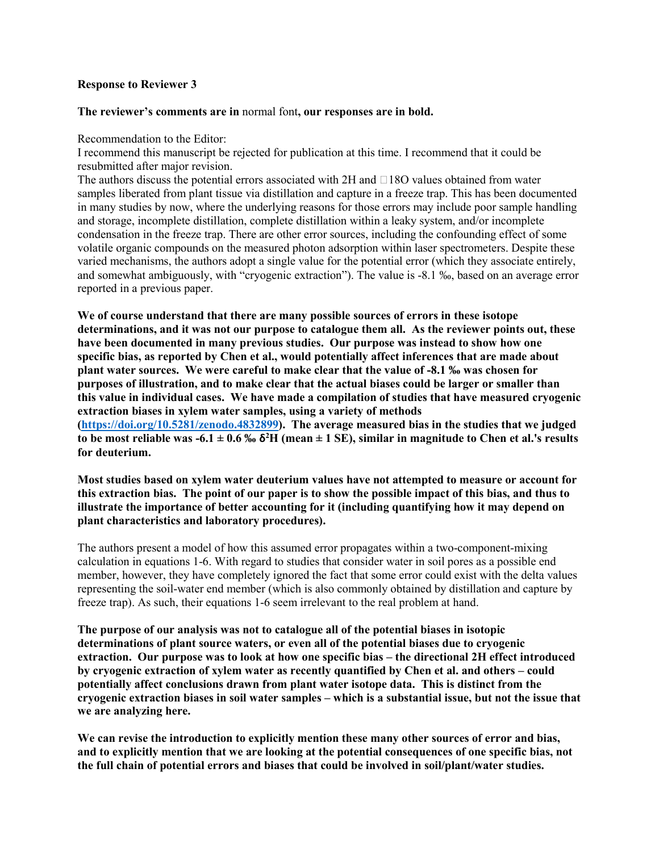#### **Response to Reviewer 3**

#### **The reviewer's comments are in** normal font**, our responses are in bold.**

Recommendation to the Editor:

I recommend this manuscript be rejected for publication at this time. I recommend that it could be resubmitted after major revision.

The authors discuss the potential errors associated with 2H and  $\Box$ 18O values obtained from water samples liberated from plant tissue via distillation and capture in a freeze trap. This has been documented in many studies by now, where the underlying reasons for those errors may include poor sample handling and storage, incomplete distillation, complete distillation within a leaky system, and/or incomplete condensation in the freeze trap. There are other error sources, including the confounding effect of some volatile organic compounds on the measured photon adsorption within laser spectrometers. Despite these varied mechanisms, the authors adopt a single value for the potential error (which they associate entirely, and somewhat ambiguously, with "cryogenic extraction"). The value is -8.1 ‰, based on an average error reported in a previous paper.

**We of course understand that there are many possible sources of errors in these isotope determinations, and it was not our purpose to catalogue them all. As the reviewer points out, these have been documented in many previous studies. Our purpose was instead to show how one specific bias, as reported by Chen et al., would potentially affect inferences that are made about plant water sources. We were careful to make clear that the value of -8.1 ‰ was chosen for purposes of illustration, and to make clear that the actual biases could be larger or smaller than this value in individual cases. We have made a compilation of studies that have measured cryogenic extraction biases in xylem water samples, using a variety of methods [\(https://doi.org/10.5281/zenodo.4832899\)](https://doi.org/10.5281/zenodo.4832899). The average measured bias in the studies that we judged to be most reliable was -6.1**  $\pm$  0.6 ‰  $\delta$ <sup>2</sup>H (mean  $\pm$  1 SE), similar in magnitude to Chen et al.'s results **for deuterium.** 

**Most studies based on xylem water deuterium values have not attempted to measure or account for this extraction bias. The point of our paper is to show the possible impact of this bias, and thus to illustrate the importance of better accounting for it (including quantifying how it may depend on plant characteristics and laboratory procedures).** 

The authors present a model of how this assumed error propagates within a two-component-mixing calculation in equations 1-6. With regard to studies that consider water in soil pores as a possible end member, however, they have completely ignored the fact that some error could exist with the delta values representing the soil-water end member (which is also commonly obtained by distillation and capture by freeze trap). As such, their equations 1-6 seem irrelevant to the real problem at hand.

**The purpose of our analysis was not to catalogue all of the potential biases in isotopic determinations of plant source waters, or even all of the potential biases due to cryogenic extraction. Our purpose was to look at how one specific bias – the directional 2H effect introduced by cryogenic extraction of xylem water as recently quantified by Chen et al. and others – could potentially affect conclusions drawn from plant water isotope data. This is distinct from the cryogenic extraction biases in soil water samples – which is a substantial issue, but not the issue that we are analyzing here.**

**We can revise the introduction to explicitly mention these many other sources of error and bias, and to explicitly mention that we are looking at the potential consequences of one specific bias, not the full chain of potential errors and biases that could be involved in soil/plant/water studies.**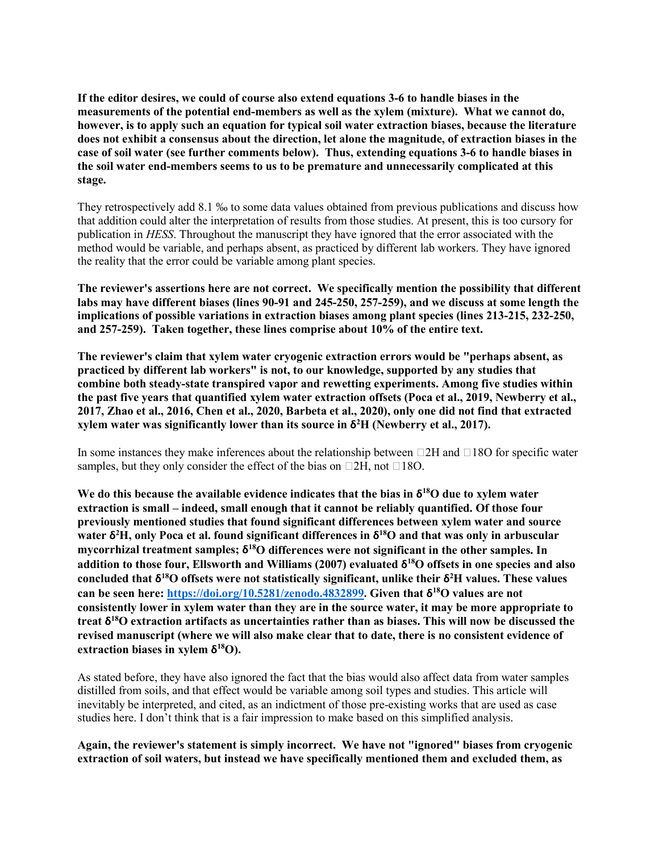**If the editor desires, we could of course also extend equations 3-6 to handle biases in the measurements of the potential end-members as well as the xylem (mixture). What we cannot do, however, is to apply such an equation for typical soil water extraction biases, because the literature does not exhibit a consensus about the direction, let alone the magnitude, of extraction biases in the case of soil water (see further comments below). Thus, extending equations 3-6 to handle biases in the soil water end-members seems to us to be premature and unnecessarily complicated at this stage.**

They retrospectively add 8.1 ‰ to some data values obtained from previous publications and discuss how that addition could alter the interpretation of results from those studies. At present, this is too cursory for publication in *HESS*. Throughout the manuscript they have ignored that the error associated with the method would be variable, and perhaps absent, as practiced by different lab workers. They have ignored the reality that the error could be variable among plant species.

**The reviewer's assertions here are not correct. We specifically mention the possibility that different labs may have different biases (lines 90-91 and 245-250, 257-259), and we discuss at some length the implications of possible variations in extraction biases among plant species (lines 213-215, 232-250, and 257-259). Taken together, these lines comprise about 10% of the entire text.**

**The reviewer's claim that xylem water cryogenic extraction errors would be "perhaps absent, as practiced by different lab workers" is not, to our knowledge, supported by any studies that combine both steady-state transpired vapor and rewetting experiments. Among five studies within the past five years that quantified xylem water extraction offsets (Poca et al., 2019, Newberry et al., 2017, Zhao et al., 2016, Chen et al., 2020, Barbeta et al., 2020), only one did not find that extracted xylem water was significantly lower than its source in δ<sup>2</sup> H (Newberry et al., 2017).** 

In some instances they make inferences about the relationship between  $\Box$ 2H and  $\Box$ 18O for specific water samples, but they only consider the effect of the bias on  $\Box 2H$ , not  $\Box 18O$ .

We do this because the available evidence indicates that the bias in  $\delta^{18}O$  due to xylem water **extraction is small – indeed, small enough that it cannot be reliably quantified. Of those four previously mentioned studies that found significant differences between xylem water and source water δ<sup>2</sup> H, only Poca et al. found significant differences in δ18O and that was only in arbuscular mycorrhizal treatment samples; δ18O differences were not significant in the other samples. In addition to those four, Ellsworth and Williams (2007) evaluated δ18O offsets in one species and also concluded that δ18O offsets were not statistically significant, unlike their δ<sup>2</sup> H values. These values can be seen here: [https://doi.org/10.5281/zenodo.4832899.](https://doi.org/10.5281/zenodo.4832899) Given that δ18O values are not consistently lower in xylem water than they are in the source water, it may be more appropriate to treat δ18O extraction artifacts as uncertainties rather than as biases. This will now be discussed the revised manuscript (where we will also make clear that to date, there is no consistent evidence of extraction biases in xylem δ18O).** 

As stated before, they have also ignored the fact that the bias would also affect data from water samples distilled from soils, and that effect would be variable among soil types and studies. This article will inevitably be interpreted, and cited, as an indictment of those pre-existing works that are used as case studies here. I don't think that is a fair impression to make based on this simplified analysis.

**Again, the reviewer's statement is simply incorrect. We have not "ignored" biases from cryogenic extraction of soil waters, but instead we have specifically mentioned them and excluded them, as**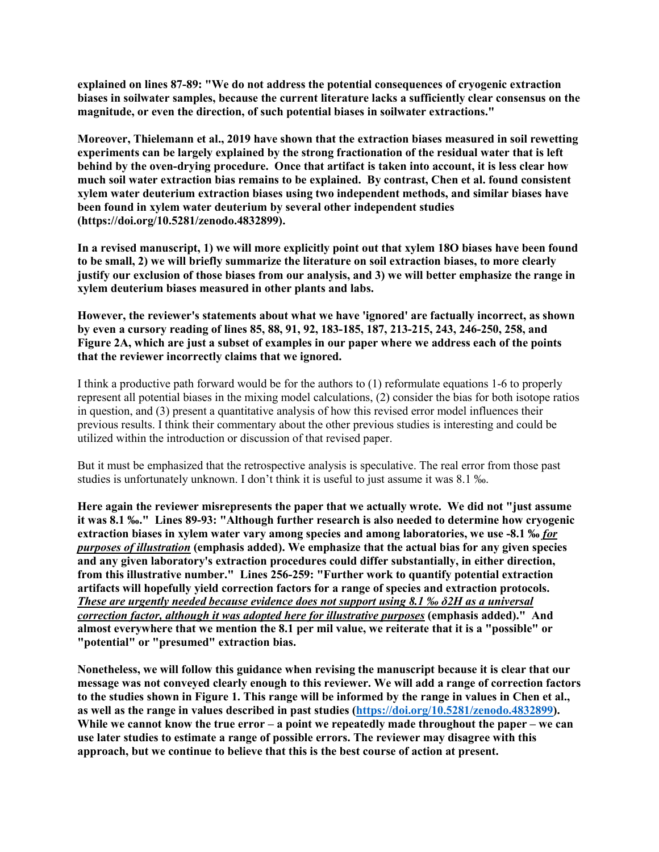**explained on lines 87-89: "We do not address the potential consequences of cryogenic extraction biases in soilwater samples, because the current literature lacks a sufficiently clear consensus on the magnitude, or even the direction, of such potential biases in soilwater extractions."**

**Moreover, Thielemann et al., 2019 have shown that the extraction biases measured in soil rewetting experiments can be largely explained by the strong fractionation of the residual water that is left behind by the oven-drying procedure. Once that artifact is taken into account, it is less clear how much soil water extraction bias remains to be explained. By contrast, Chen et al. found consistent xylem water deuterium extraction biases using two independent methods, and similar biases have been found in xylem water deuterium by several other independent studies (https://doi.org/10.5281/zenodo.4832899).** 

**In a revised manuscript, 1) we will more explicitly point out that xylem 18O biases have been found to be small, 2) we will briefly summarize the literature on soil extraction biases, to more clearly justify our exclusion of those biases from our analysis, and 3) we will better emphasize the range in xylem deuterium biases measured in other plants and labs.** 

**However, the reviewer's statements about what we have 'ignored' are factually incorrect, as shown by even a cursory reading of lines 85, 88, 91, 92, 183-185, 187, 213-215, 243, 246-250, 258, and Figure 2A, which are just a subset of examples in our paper where we address each of the points that the reviewer incorrectly claims that we ignored.**

I think a productive path forward would be for the authors to (1) reformulate equations 1-6 to properly represent all potential biases in the mixing model calculations, (2) consider the bias for both isotope ratios in question, and (3) present a quantitative analysis of how this revised error model influences their previous results. I think their commentary about the other previous studies is interesting and could be utilized within the introduction or discussion of that revised paper.

But it must be emphasized that the retrospective analysis is speculative. The real error from those past studies is unfortunately unknown. I don't think it is useful to just assume it was 8.1 ‰.

**Here again the reviewer misrepresents the paper that we actually wrote. We did not "just assume it was 8.1 ‰." Lines 89-93: "Although further research is also needed to determine how cryogenic extraction biases in xylem water vary among species and among laboratories, we use -8.1 ‰** *for purposes of illustration* **(emphasis added). We emphasize that the actual bias for any given species and any given laboratory's extraction procedures could differ substantially, in either direction, from this illustrative number." Lines 256-259: "Further work to quantify potential extraction artifacts will hopefully yield correction factors for a range of species and extraction protocols.** *These are urgently needed because evidence does not support using 8.1 ‰ δ2H as a universal correction factor, although it was adopted here for illustrative purposes* **(emphasis added)." And almost everywhere that we mention the 8.1 per mil value, we reiterate that it is a "possible" or "potential" or "presumed" extraction bias.**

**Nonetheless, we will follow this guidance when revising the manuscript because it is clear that our message was not conveyed clearly enough to this reviewer. We will add a range of correction factors to the studies shown in Figure 1. This range will be informed by the range in values in Chen et al., as well as the range in values described in past studies [\(https://doi.org/10.5281/zenodo.4832899\)](https://doi.org/10.5281/zenodo.4832899). While we cannot know the true error – a point we repeatedly made throughout the paper – we can use later studies to estimate a range of possible errors. The reviewer may disagree with this approach, but we continue to believe that this is the best course of action at present.**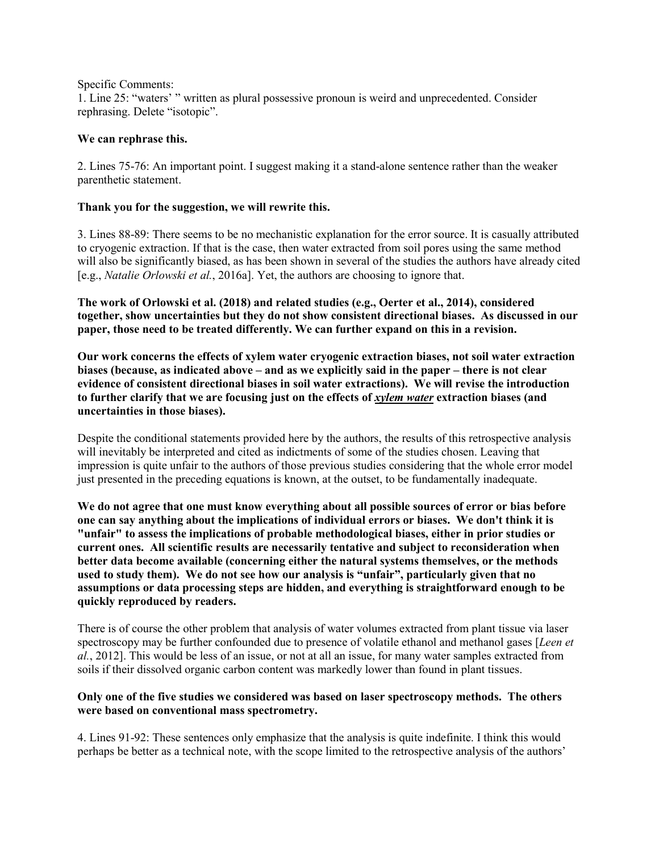Specific Comments:

1. Line 25: "waters' " written as plural possessive pronoun is weird and unprecedented. Consider rephrasing. Delete "isotopic".

## **We can rephrase this.**

2. Lines 75-76: An important point. I suggest making it a stand-alone sentence rather than the weaker parenthetic statement.

## **Thank you for the suggestion, we will rewrite this.**

3. Lines 88-89: There seems to be no mechanistic explanation for the error source. It is casually attributed to cryogenic extraction. If that is the case, then water extracted from soil pores using the same method will also be significantly biased, as has been shown in several of the studies the authors have already cited [e.g., *Natalie Orlowski et al.*, 2016a]. Yet, the authors are choosing to ignore that.

**The work of Orlowski et al. (2018) and related studies (e.g., Oerter et al., 2014), considered together, show uncertainties but they do not show consistent directional biases. As discussed in our paper, those need to be treated differently. We can further expand on this in a revision.**

**Our work concerns the effects of xylem water cryogenic extraction biases, not soil water extraction biases (because, as indicated above – and as we explicitly said in the paper – there is not clear evidence of consistent directional biases in soil water extractions). We will revise the introduction to further clarify that we are focusing just on the effects of** *xylem water* **extraction biases (and uncertainties in those biases).** 

Despite the conditional statements provided here by the authors, the results of this retrospective analysis will inevitably be interpreted and cited as indictments of some of the studies chosen. Leaving that impression is quite unfair to the authors of those previous studies considering that the whole error model just presented in the preceding equations is known, at the outset, to be fundamentally inadequate.

**We do not agree that one must know everything about all possible sources of error or bias before one can say anything about the implications of individual errors or biases. We don't think it is "unfair" to assess the implications of probable methodological biases, either in prior studies or current ones. All scientific results are necessarily tentative and subject to reconsideration when better data become available (concerning either the natural systems themselves, or the methods used to study them). We do not see how our analysis is "unfair", particularly given that no assumptions or data processing steps are hidden, and everything is straightforward enough to be quickly reproduced by readers.**

There is of course the other problem that analysis of water volumes extracted from plant tissue via laser spectroscopy may be further confounded due to presence of volatile ethanol and methanol gases [*Leen et al.*, 2012]. This would be less of an issue, or not at all an issue, for many water samples extracted from soils if their dissolved organic carbon content was markedly lower than found in plant tissues.

### **Only one of the five studies we considered was based on laser spectroscopy methods. The others were based on conventional mass spectrometry.**

4. Lines 91-92: These sentences only emphasize that the analysis is quite indefinite. I think this would perhaps be better as a technical note, with the scope limited to the retrospective analysis of the authors'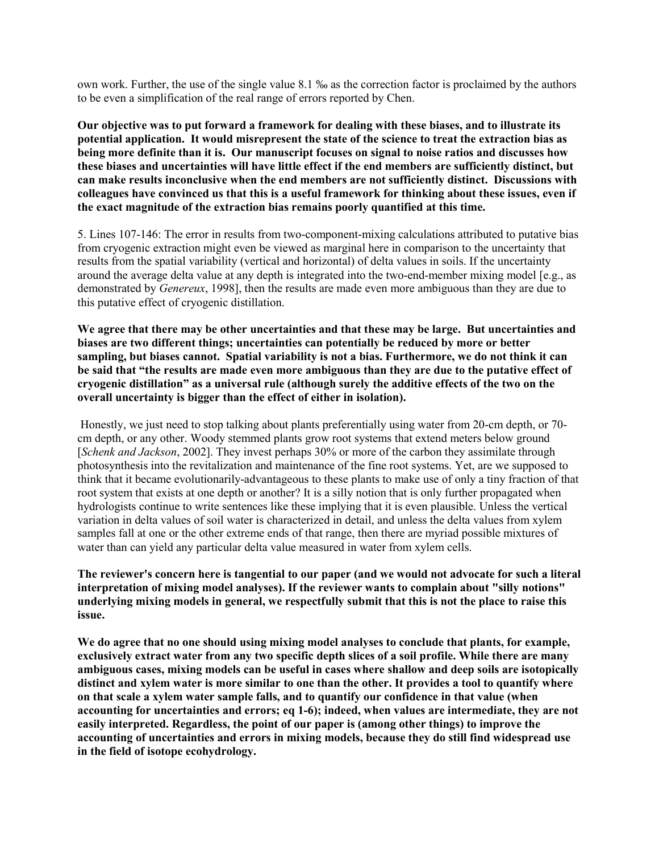own work. Further, the use of the single value 8.1 ‰ as the correction factor is proclaimed by the authors to be even a simplification of the real range of errors reported by Chen.

**Our objective was to put forward a framework for dealing with these biases, and to illustrate its potential application. It would misrepresent the state of the science to treat the extraction bias as being more definite than it is. Our manuscript focuses on signal to noise ratios and discusses how these biases and uncertainties will have little effect if the end members are sufficiently distinct, but can make results inconclusive when the end members are not sufficiently distinct. Discussions with colleagues have convinced us that this is a useful framework for thinking about these issues, even if the exact magnitude of the extraction bias remains poorly quantified at this time.**

5. Lines 107-146: The error in results from two-component-mixing calculations attributed to putative bias from cryogenic extraction might even be viewed as marginal here in comparison to the uncertainty that results from the spatial variability (vertical and horizontal) of delta values in soils. If the uncertainty around the average delta value at any depth is integrated into the two-end-member mixing model [e.g., as demonstrated by *Genereux*, 1998], then the results are made even more ambiguous than they are due to this putative effect of cryogenic distillation.

**We agree that there may be other uncertainties and that these may be large. But uncertainties and biases are two different things; uncertainties can potentially be reduced by more or better sampling, but biases cannot. Spatial variability is not a bias. Furthermore, we do not think it can be said that "the results are made even more ambiguous than they are due to the putative effect of cryogenic distillation" as a universal rule (although surely the additive effects of the two on the overall uncertainty is bigger than the effect of either in isolation).** 

Honestly, we just need to stop talking about plants preferentially using water from 20-cm depth, or 70 cm depth, or any other. Woody stemmed plants grow root systems that extend meters below ground [*Schenk and Jackson*, 2002]. They invest perhaps 30% or more of the carbon they assimilate through photosynthesis into the revitalization and maintenance of the fine root systems. Yet, are we supposed to think that it became evolutionarily-advantageous to these plants to make use of only a tiny fraction of that root system that exists at one depth or another? It is a silly notion that is only further propagated when hydrologists continue to write sentences like these implying that it is even plausible. Unless the vertical variation in delta values of soil water is characterized in detail, and unless the delta values from xylem samples fall at one or the other extreme ends of that range, then there are myriad possible mixtures of water than can yield any particular delta value measured in water from xylem cells.

**The reviewer's concern here is tangential to our paper (and we would not advocate for such a literal interpretation of mixing model analyses). If the reviewer wants to complain about "silly notions" underlying mixing models in general, we respectfully submit that this is not the place to raise this issue.**

**We do agree that no one should using mixing model analyses to conclude that plants, for example, exclusively extract water from any two specific depth slices of a soil profile. While there are many ambiguous cases, mixing models can be useful in cases where shallow and deep soils are isotopically distinct and xylem water is more similar to one than the other. It provides a tool to quantify where on that scale a xylem water sample falls, and to quantify our confidence in that value (when accounting for uncertainties and errors; eq 1-6); indeed, when values are intermediate, they are not easily interpreted. Regardless, the point of our paper is (among other things) to improve the accounting of uncertainties and errors in mixing models, because they do still find widespread use in the field of isotope ecohydrology.**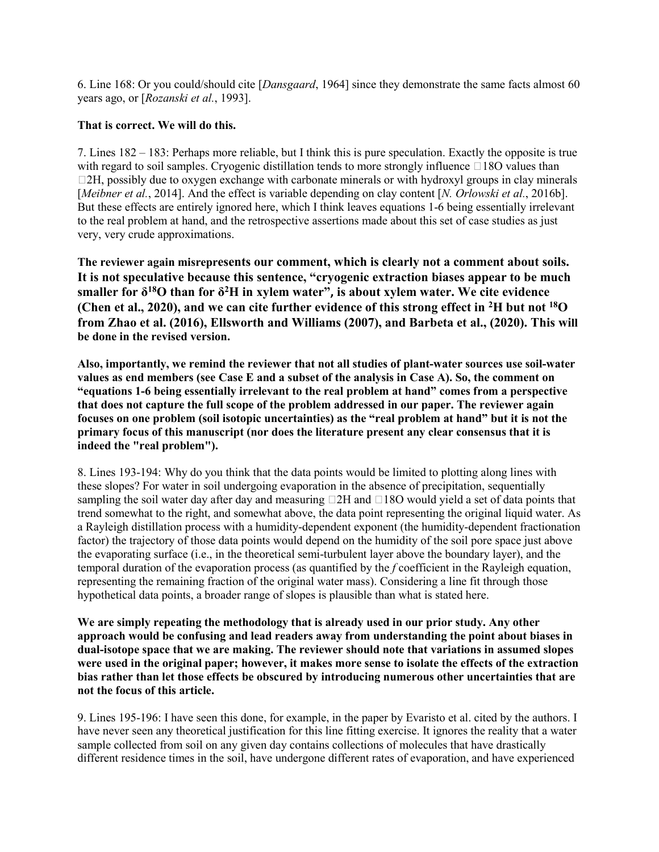6. Line 168: Or you could/should cite [*Dansgaard*, 1964] since they demonstrate the same facts almost 60 years ago, or [*Rozanski et al.*, 1993].

# **That is correct. We will do this.**

7. Lines 182 – 183: Perhaps more reliable, but I think this is pure speculation. Exactly the opposite is true with regard to soil samples. Cryogenic distillation tends to more strongly influence  $\Box$  18O values than  $\Box$ 2H, possibly due to oxygen exchange with carbonate minerals or with hydroxyl groups in clay minerals [*Meibner et al.*, 2014]. And the effect is variable depending on clay content [*N. Orlowski et al.*, 2016b]. But these effects are entirely ignored here, which I think leaves equations 1-6 being essentially irrelevant to the real problem at hand, and the retrospective assertions made about this set of case studies as just very, very crude approximations.

**The reviewer again misrepresents our comment, which is clearly not a comment about soils. It is not speculative because this sentence, "cryogenic extraction biases appear to be much smaller for δ18O than for δ2H in xylem water", is about xylem water. We cite evidence (Chen et al., 2020), and we can cite further evidence of this strong effect in 2H but not 18O from Zhao et al. (2016), Ellsworth and Williams (2007), and Barbeta et al., (2020). This will be done in the revised version.**

**Also, importantly, we remind the reviewer that not all studies of plant-water sources use soil-water values as end members (see Case E and a subset of the analysis in Case A). So, the comment on "equations 1-6 being essentially irrelevant to the real problem at hand" comes from a perspective that does not capture the full scope of the problem addressed in our paper. The reviewer again focuses on one problem (soil isotopic uncertainties) as the "real problem at hand" but it is not the primary focus of this manuscript (nor does the literature present any clear consensus that it is indeed the "real problem").** 

8. Lines 193-194: Why do you think that the data points would be limited to plotting along lines with these slopes? For water in soil undergoing evaporation in the absence of precipitation, sequentially sampling the soil water day after day and measuring  $\Box$ 2H and  $\Box$ 18O would yield a set of data points that trend somewhat to the right, and somewhat above, the data point representing the original liquid water. As a Rayleigh distillation process with a humidity-dependent exponent (the humidity-dependent fractionation factor) the trajectory of those data points would depend on the humidity of the soil pore space just above the evaporating surface (i.e., in the theoretical semi-turbulent layer above the boundary layer), and the temporal duration of the evaporation process (as quantified by the *f* coefficient in the Rayleigh equation, representing the remaining fraction of the original water mass). Considering a line fit through those hypothetical data points, a broader range of slopes is plausible than what is stated here.

**We are simply repeating the methodology that is already used in our prior study. Any other approach would be confusing and lead readers away from understanding the point about biases in dual-isotope space that we are making. The reviewer should note that variations in assumed slopes were used in the original paper; however, it makes more sense to isolate the effects of the extraction bias rather than let those effects be obscured by introducing numerous other uncertainties that are not the focus of this article.** 

9. Lines 195-196: I have seen this done, for example, in the paper by Evaristo et al. cited by the authors. I have never seen any theoretical justification for this line fitting exercise. It ignores the reality that a water sample collected from soil on any given day contains collections of molecules that have drastically different residence times in the soil, have undergone different rates of evaporation, and have experienced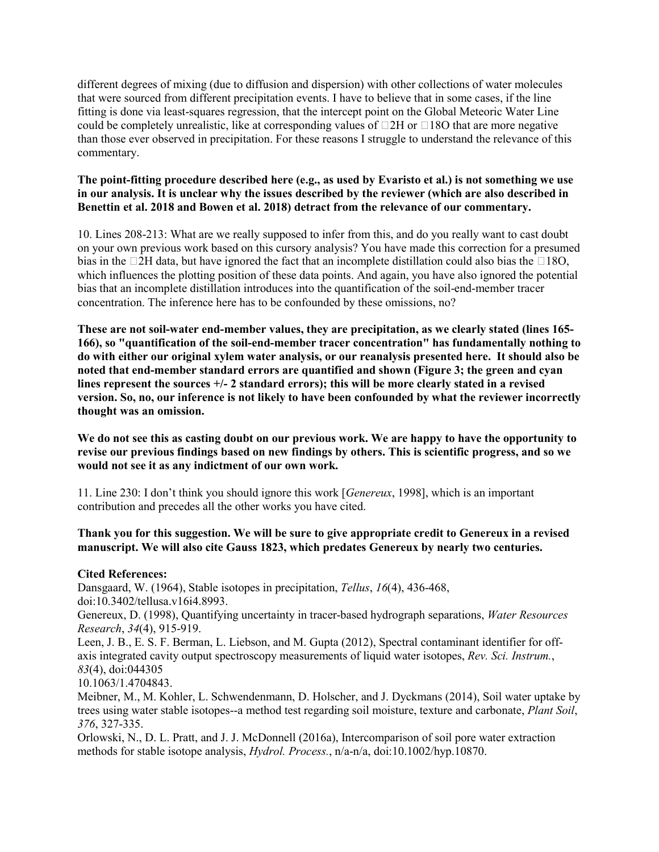different degrees of mixing (due to diffusion and dispersion) with other collections of water molecules that were sourced from different precipitation events. I have to believe that in some cases, if the line fitting is done via least-squares regression, that the intercept point on the Global Meteoric Water Line could be completely unrealistic, like at corresponding values of  $\Box$ 2H or  $\Box$ 18O that are more negative than those ever observed in precipitation. For these reasons I struggle to understand the relevance of this commentary.

## **The point-fitting procedure described here (e.g., as used by Evaristo et al.) is not something we use in our analysis. It is unclear why the issues described by the reviewer (which are also described in Benettin et al. 2018 and Bowen et al. 2018) detract from the relevance of our commentary.**

10. Lines 208-213: What are we really supposed to infer from this, and do you really want to cast doubt on your own previous work based on this cursory analysis? You have made this correction for a presumed bias in the  $\Box$ 2H data, but have ignored the fact that an incomplete distillation could also bias the  $\Box$ 18O, which influences the plotting position of these data points. And again, you have also ignored the potential bias that an incomplete distillation introduces into the quantification of the soil-end-member tracer concentration. The inference here has to be confounded by these omissions, no?

**These are not soil-water end-member values, they are precipitation, as we clearly stated (lines 165- 166), so "quantification of the soil-end-member tracer concentration" has fundamentally nothing to do with either our original xylem water analysis, or our reanalysis presented here. It should also be noted that end-member standard errors are quantified and shown (Figure 3; the green and cyan lines represent the sources +/- 2 standard errors); this will be more clearly stated in a revised version. So, no, our inference is not likely to have been confounded by what the reviewer incorrectly thought was an omission.** 

**We do not see this as casting doubt on our previous work. We are happy to have the opportunity to revise our previous findings based on new findings by others. This is scientific progress, and so we would not see it as any indictment of our own work.** 

11. Line 230: I don't think you should ignore this work [*Genereux*, 1998], which is an important contribution and precedes all the other works you have cited.

# **Thank you for this suggestion. We will be sure to give appropriate credit to Genereux in a revised manuscript. We will also cite Gauss 1823, which predates Genereux by nearly two centuries.**

### **Cited References:**

Dansgaard, W. (1964), Stable isotopes in precipitation, *Tellus*, *16*(4), 436-468, doi:10.3402/tellusa.v16i4.8993.

Genereux, D. (1998), Quantifying uncertainty in tracer-based hydrograph separations, *Water Resources Research*, *34*(4), 915-919.

Leen, J. B., E. S. F. Berman, L. Liebson, and M. Gupta (2012), Spectral contaminant identifier for offaxis integrated cavity output spectroscopy measurements of liquid water isotopes, *Rev. Sci. Instrum.*, *83*(4), doi:044305

10.1063/1.4704843.

Meibner, M., M. Kohler, L. Schwendenmann, D. Holscher, and J. Dyckmans (2014), Soil water uptake by trees using water stable isotopes--a method test regarding soil moisture, texture and carbonate, *Plant Soil*, *376*, 327-335.

Orlowski, N., D. L. Pratt, and J. J. McDonnell (2016a), Intercomparison of soil pore water extraction methods for stable isotope analysis, *Hydrol. Process.*, n/a-n/a, doi:10.1002/hyp.10870.